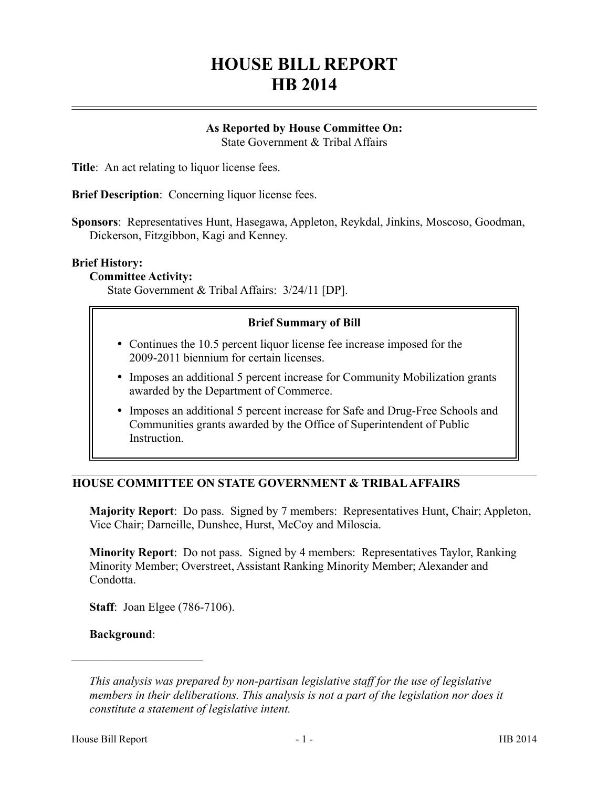# **HOUSE BILL REPORT HB 2014**

# **As Reported by House Committee On:**

State Government & Tribal Affairs

**Title**: An act relating to liquor license fees.

**Brief Description**: Concerning liquor license fees.

**Sponsors**: Representatives Hunt, Hasegawa, Appleton, Reykdal, Jinkins, Moscoso, Goodman, Dickerson, Fitzgibbon, Kagi and Kenney.

#### **Brief History:**

**Committee Activity:**

State Government & Tribal Affairs: 3/24/11 [DP].

### **Brief Summary of Bill**

- Continues the 10.5 percent liquor license fee increase imposed for the 2009-2011 biennium for certain licenses.
- Imposes an additional 5 percent increase for Community Mobilization grants awarded by the Department of Commerce.
- Imposes an additional 5 percent increase for Safe and Drug-Free Schools and Communities grants awarded by the Office of Superintendent of Public Instruction.

# **HOUSE COMMITTEE ON STATE GOVERNMENT & TRIBAL AFFAIRS**

**Majority Report**: Do pass. Signed by 7 members: Representatives Hunt, Chair; Appleton, Vice Chair; Darneille, Dunshee, Hurst, McCoy and Miloscia.

**Minority Report**: Do not pass. Signed by 4 members: Representatives Taylor, Ranking Minority Member; Overstreet, Assistant Ranking Minority Member; Alexander and Condotta.

**Staff**: Joan Elgee (786-7106).

#### **Background**:

––––––––––––––––––––––

*This analysis was prepared by non-partisan legislative staff for the use of legislative members in their deliberations. This analysis is not a part of the legislation nor does it constitute a statement of legislative intent.*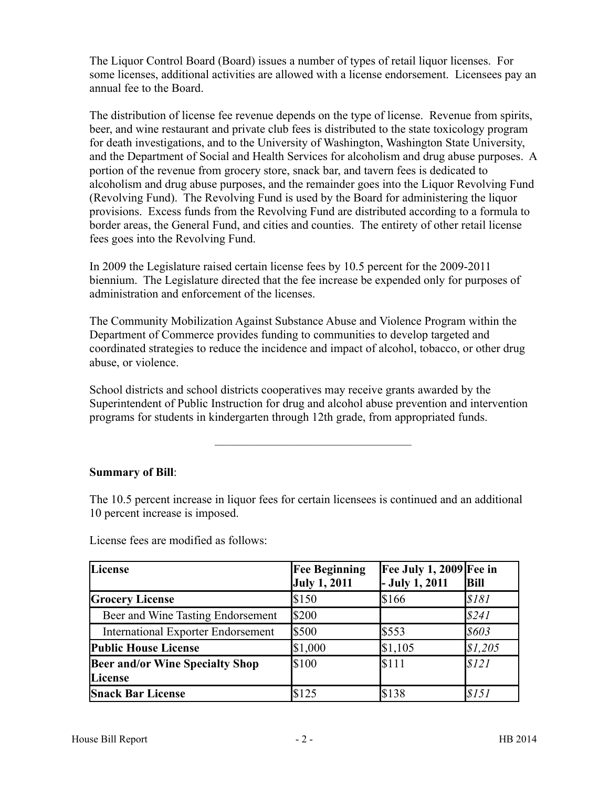The Liquor Control Board (Board) issues a number of types of retail liquor licenses. For some licenses, additional activities are allowed with a license endorsement. Licensees pay an annual fee to the Board.

The distribution of license fee revenue depends on the type of license. Revenue from spirits, beer, and wine restaurant and private club fees is distributed to the state toxicology program for death investigations, and to the University of Washington, Washington State University, and the Department of Social and Health Services for alcoholism and drug abuse purposes. A portion of the revenue from grocery store, snack bar, and tavern fees is dedicated to alcoholism and drug abuse purposes, and the remainder goes into the Liquor Revolving Fund (Revolving Fund). The Revolving Fund is used by the Board for administering the liquor provisions. Excess funds from the Revolving Fund are distributed according to a formula to border areas, the General Fund, and cities and counties. The entirety of other retail license fees goes into the Revolving Fund.

In 2009 the Legislature raised certain license fees by 10.5 percent for the 2009-2011 biennium. The Legislature directed that the fee increase be expended only for purposes of administration and enforcement of the licenses.

The Community Mobilization Against Substance Abuse and Violence Program within the Department of Commerce provides funding to communities to develop targeted and coordinated strategies to reduce the incidence and impact of alcohol, tobacco, or other drug abuse, or violence.

School districts and school districts cooperatives may receive grants awarded by the Superintendent of Public Instruction for drug and alcohol abuse prevention and intervention programs for students in kindergarten through 12th grade, from appropriated funds.

–––––––––––––––––––––––––––––––––

# **Summary of Bill**:

The 10.5 percent increase in liquor fees for certain licensees is continued and an additional 10 percent increase is imposed.

| License                                           | <b>Fee Beginning</b><br><b>July 1, 2011</b> | Fee July 1, 2009 Fee in<br>$-$ July 1, 2011 | <b>Bill</b> |
|---------------------------------------------------|---------------------------------------------|---------------------------------------------|-------------|
| <b>Grocery License</b>                            | \$150                                       | \$166                                       | \$181       |
| Beer and Wine Tasting Endorsement                 | \$200                                       |                                             | \$241       |
| <b>International Exporter Endorsement</b>         | \$500                                       | \$553                                       | \$603       |
| <b>Public House License</b>                       | \$1,000                                     | \$1,105                                     | \$1,205     |
| <b>Beer and/or Wine Specialty Shop</b><br>License | <b>S</b> 100                                | \$111                                       | \$121       |
| <b>Snack Bar License</b>                          | \$125                                       | \$138                                       | \$151       |

License fees are modified as follows: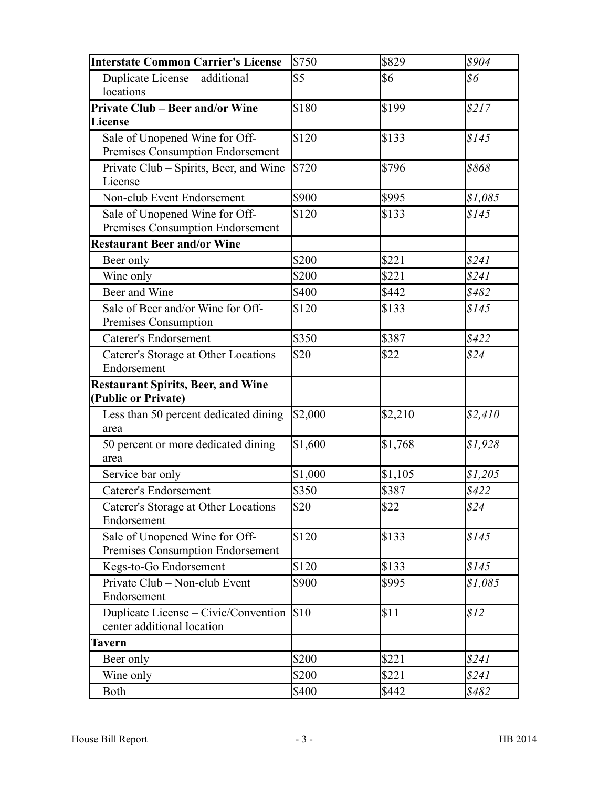| <b>Interstate Common Carrier's License</b>                         | \$750   | \$829   | \$904   |
|--------------------------------------------------------------------|---------|---------|---------|
| Duplicate License - additional<br>locations                        | \$5     | \$6     | \$6     |
| <b>Private Club – Beer and/or Wine</b><br>License                  | \$180   | \$199   | \$217   |
| Sale of Unopened Wine for Off-<br>Premises Consumption Endorsement | \$120   | \$133   | \$145   |
| Private Club – Spirits, Beer, and Wine<br>License                  | \$720   | \$796   | \$868   |
| Non-club Event Endorsement                                         | \$900   | \$995   | \$1,085 |
| Sale of Unopened Wine for Off-<br>Premises Consumption Endorsement | \$120   | \$133   | \$145   |
| <b>Restaurant Beer and/or Wine</b>                                 |         |         |         |
| Beer only                                                          | \$200   | \$221   | \$241   |
| Wine only                                                          | \$200   | \$221   | \$241   |
| Beer and Wine                                                      | \$400   | \$442   | \$482   |
| Sale of Beer and/or Wine for Off-<br>Premises Consumption          | \$120   | \$133   | \$145   |
| <b>Caterer's Endorsement</b>                                       | \$350   | \$387   | \$422   |
| Caterer's Storage at Other Locations<br>Endorsement                | \$20    | \$22    | \$24    |
| <b>Restaurant Spirits, Beer, and Wine</b><br>(Public or Private)   |         |         |         |
| Less than 50 percent dedicated dining<br>area                      | \$2,000 | \$2,210 | \$2,410 |
| 50 percent or more dedicated dining<br>area                        | \$1,600 | \$1,768 | \$1,928 |
| Service bar only                                                   | \$1,000 | \$1,105 | \$1,205 |
| <b>Caterer's Endorsement</b>                                       | \$350   | \$387   | \$422   |
| Caterer's Storage at Other Locations<br>Endorsement                | \$20    | \$22    | \$24    |
| Sale of Unopened Wine for Off-<br>Premises Consumption Endorsement | \$120   | \$133   | \$145   |
| Kegs-to-Go Endorsement                                             | \$120   | \$133   | \$145   |
| Private Club – Non-club Event<br>Endorsement                       | \$900   | \$995   | \$1,085 |
| Duplicate License – Civic/Convention<br>center additional location | \$10    | \$11    | \$12    |
| Tavern                                                             |         |         |         |
| Beer only                                                          | \$200   | \$221   | \$241   |
| Wine only                                                          | \$200   | \$221   | \$241   |
| <b>Both</b>                                                        | \$400   | \$442   | \$482   |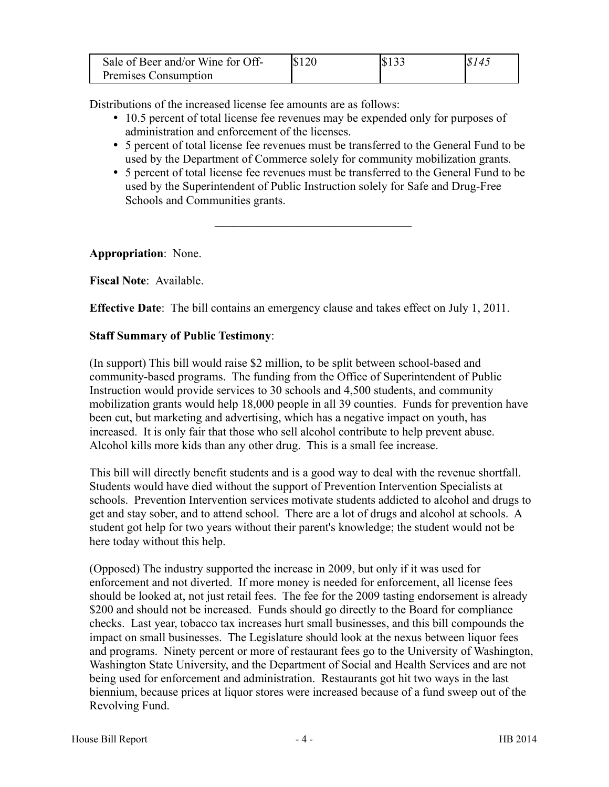| Sale of Beer and/or Wine for Off- | \$120 | \$133 | \$145 |
|-----------------------------------|-------|-------|-------|
| Premises Consumption              |       |       |       |

Distributions of the increased license fee amounts are as follows:

- 10.5 percent of total license fee revenues may be expended only for purposes of administration and enforcement of the licenses.
- 5 percent of total license fee revenues must be transferred to the General Fund to be used by the Department of Commerce solely for community mobilization grants.
- 5 percent of total license fee revenues must be transferred to the General Fund to be used by the Superintendent of Public Instruction solely for Safe and Drug-Free Schools and Communities grants.

–––––––––––––––––––––––––––––––––

**Appropriation**: None.

**Fiscal Note**: Available.

**Effective Date**: The bill contains an emergency clause and takes effect on July 1, 2011.

#### **Staff Summary of Public Testimony**:

(In support) This bill would raise \$2 million, to be split between school-based and community-based programs. The funding from the Office of Superintendent of Public Instruction would provide services to 30 schools and 4,500 students, and community mobilization grants would help 18,000 people in all 39 counties. Funds for prevention have been cut, but marketing and advertising, which has a negative impact on youth, has increased. It is only fair that those who sell alcohol contribute to help prevent abuse. Alcohol kills more kids than any other drug. This is a small fee increase.

This bill will directly benefit students and is a good way to deal with the revenue shortfall. Students would have died without the support of Prevention Intervention Specialists at schools. Prevention Intervention services motivate students addicted to alcohol and drugs to get and stay sober, and to attend school. There are a lot of drugs and alcohol at schools. A student got help for two years without their parent's knowledge; the student would not be here today without this help.

(Opposed) The industry supported the increase in 2009, but only if it was used for enforcement and not diverted. If more money is needed for enforcement, all license fees should be looked at, not just retail fees. The fee for the 2009 tasting endorsement is already \$200 and should not be increased. Funds should go directly to the Board for compliance checks. Last year, tobacco tax increases hurt small businesses, and this bill compounds the impact on small businesses. The Legislature should look at the nexus between liquor fees and programs. Ninety percent or more of restaurant fees go to the University of Washington, Washington State University, and the Department of Social and Health Services and are not being used for enforcement and administration. Restaurants got hit two ways in the last biennium, because prices at liquor stores were increased because of a fund sweep out of the Revolving Fund.